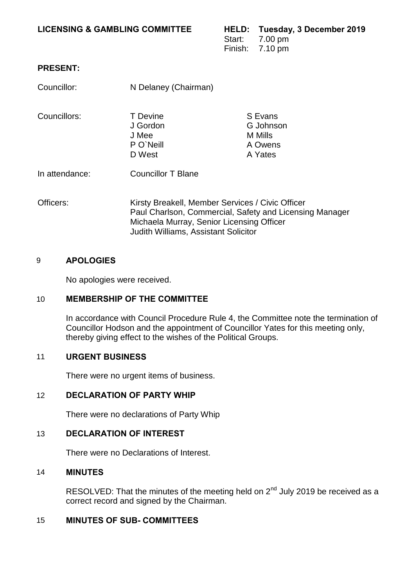### **LICENSING & GAMBLING COMMITTEE HELD: Tuesday, 3 December 2019**

Start: 7.00 pm Finish: 7.10 pm

# **PRESENT:**

| Councillor:    | N Delaney (Chairman)                                                                                                                                                                                    |                                                       |
|----------------|---------------------------------------------------------------------------------------------------------------------------------------------------------------------------------------------------------|-------------------------------------------------------|
| Councillors:   | <b>T</b> Devine<br>J Gordon<br>J Mee<br>P O'Neill<br>D West                                                                                                                                             | S Evans<br>G Johnson<br>M Mills<br>A Owens<br>A Yates |
| In attendance: | <b>Councillor T Blane</b>                                                                                                                                                                               |                                                       |
| Officers:      | Kirsty Breakell, Member Services / Civic Officer<br>Paul Charlson, Commercial, Safety and Licensing Manager<br>Michaela Murray, Senior Licensing Officer<br><b>Judith Williams, Assistant Solicitor</b> |                                                       |

### 9 **APOLOGIES**

No apologies were received.

# 10 **MEMBERSHIP OF THE COMMITTEE**

In accordance with Council Procedure Rule 4, the Committee note the termination of Councillor Hodson and the appointment of Councillor Yates for this meeting only, thereby giving effect to the wishes of the Political Groups.

### 11 **URGENT BUSINESS**

There were no urgent items of business.

### 12 **DECLARATION OF PARTY WHIP**

There were no declarations of Party Whip

# 13 **DECLARATION OF INTEREST**

There were no Declarations of Interest.

### 14 **MINUTES**

RESOLVED: That the minutes of the meeting held on 2<sup>nd</sup> July 2019 be received as a correct record and signed by the Chairman.

# 15 **MINUTES OF SUB- COMMITTEES**